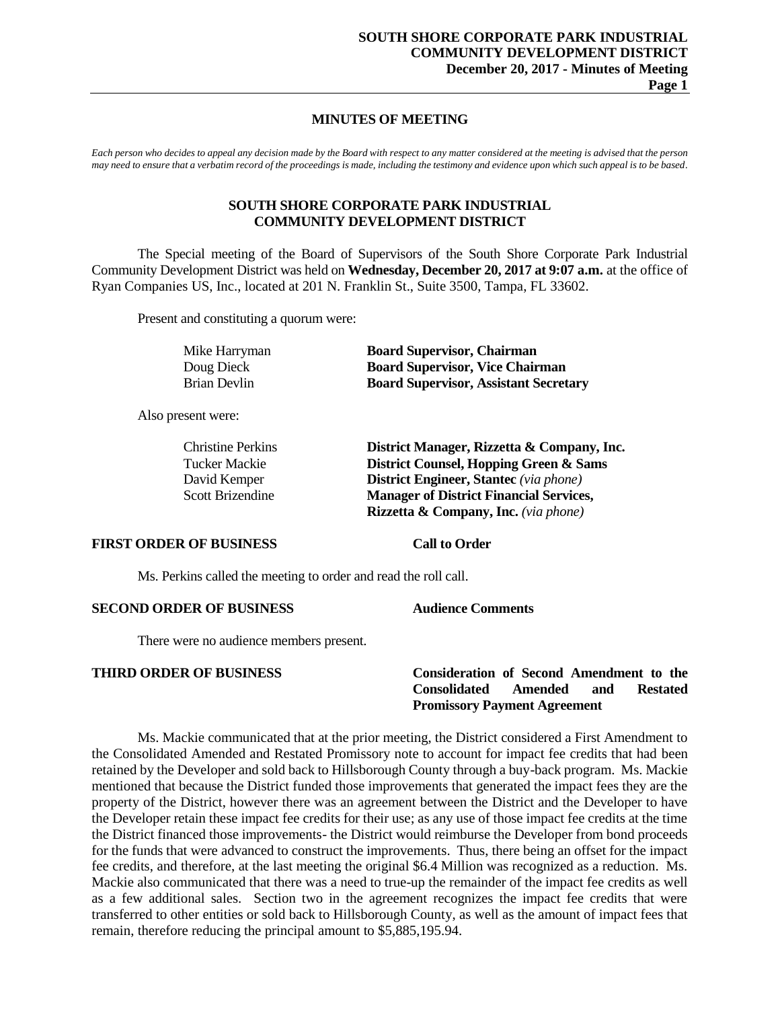# **MINUTES OF MEETING**

*Each person who decides to appeal any decision made by the Board with respect to any matter considered at the meeting is advised that the person may need to ensure that a verbatim record of the proceedings is made, including the testimony and evidence upon which such appeal is to be based.*

# **SOUTH SHORE CORPORATE PARK INDUSTRIAL COMMUNITY DEVELOPMENT DISTRICT**

The Special meeting of the Board of Supervisors of the South Shore Corporate Park Industrial Community Development District was held on **Wednesday, December 20, 2017 at 9:07 a.m.** at the office of Ryan Companies US, Inc., located at 201 N. Franklin St., Suite 3500, Tampa, FL 33602.

Present and constituting a quorum were:

| Mike Harryman | <b>Board Supervisor, Chairman</b>            |
|---------------|----------------------------------------------|
| Doug Dieck    | <b>Board Supervisor, Vice Chairman</b>       |
| Brian Devlin  | <b>Board Supervisor, Assistant Secretary</b> |

Also present were:

| <b>Christine Perkins</b> | District Manager, Rizzetta & Company, Inc.      |
|--------------------------|-------------------------------------------------|
| Tucker Mackie            | District Counsel, Hopping Green & Sams          |
| David Kemper             | <b>District Engineer, Stantec</b> (via phone)   |
| Scott Brizendine         | <b>Manager of District Financial Services,</b>  |
|                          | <b>Rizzetta &amp; Company, Inc.</b> (via phone) |

# **FIRST ORDER OF BUSINESS Call to Order**

Ms. Perkins called the meeting to order and read the roll call.

# **SECOND ORDER OF BUSINESS Audience Comments**

There were no audience members present.

# **THIRD ORDER OF BUSINESS Consideration of Second Amendment to the Consolidated Amended and Restated Promissory Payment Agreement**

Ms. Mackie communicated that at the prior meeting, the District considered a First Amendment to the Consolidated Amended and Restated Promissory note to account for impact fee credits that had been retained by the Developer and sold back to Hillsborough County through a buy-back program. Ms. Mackie mentioned that because the District funded those improvements that generated the impact fees they are the property of the District, however there was an agreement between the District and the Developer to have the Developer retain these impact fee credits for their use; as any use of those impact fee credits at the time the District financed those improvements- the District would reimburse the Developer from bond proceeds for the funds that were advanced to construct the improvements. Thus, there being an offset for the impact fee credits, and therefore, at the last meeting the original \$6.4 Million was recognized as a reduction. Ms. Mackie also communicated that there was a need to true-up the remainder of the impact fee credits as well as a few additional sales. Section two in the agreement recognizes the impact fee credits that were transferred to other entities or sold back to Hillsborough County, as well as the amount of impact fees that remain, therefore reducing the principal amount to \$5,885,195.94.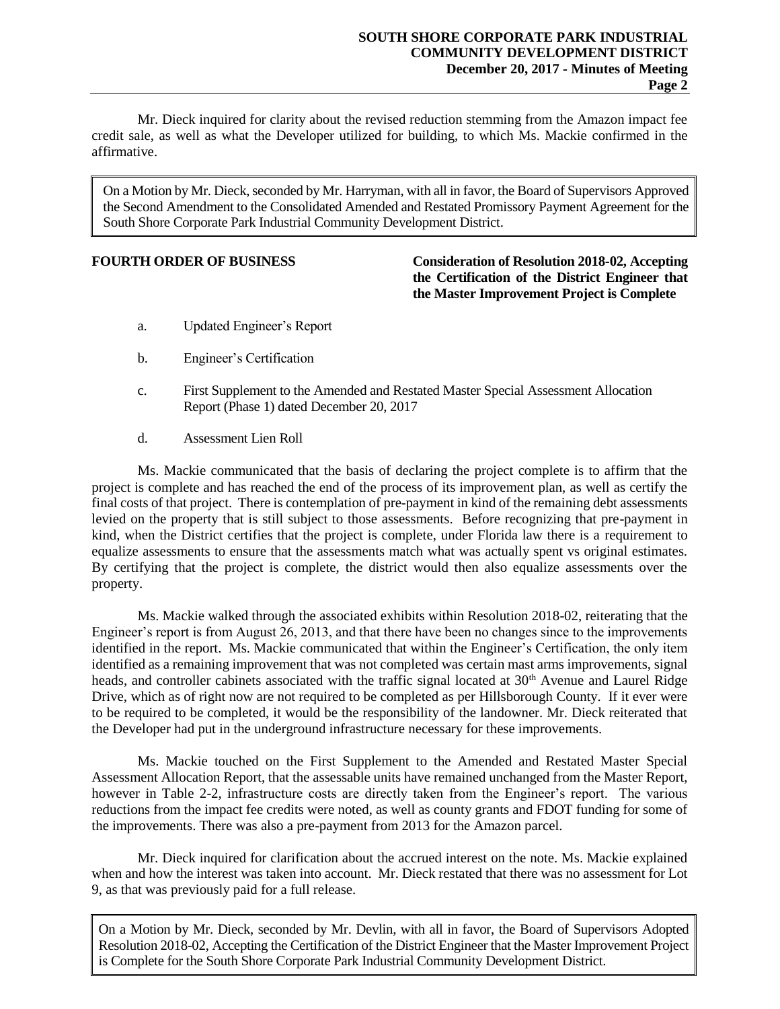Mr. Dieck inquired for clarity about the revised reduction stemming from the Amazon impact fee credit sale, as well as what the Developer utilized for building, to which Ms. Mackie confirmed in the affirmative.

On a Motion by Mr. Dieck, seconded by Mr. Harryman, with all in favor, the Board of Supervisors Approved the Second Amendment to the Consolidated Amended and Restated Promissory Payment Agreement for the South Shore Corporate Park Industrial Community Development District.

**FOURTH ORDER OF BUSINESS Consideration of Resolution 2018-02, Accepting the Certification of the District Engineer that the Master Improvement Project is Complete**

- a. Updated Engineer's Report
- b. Engineer's Certification
- c. First Supplement to the Amended and Restated Master Special Assessment Allocation Report (Phase 1) dated December 20, 2017
- d. Assessment Lien Roll

Ms. Mackie communicated that the basis of declaring the project complete is to affirm that the project is complete and has reached the end of the process of its improvement plan, as well as certify the final costs of that project. There is contemplation of pre-payment in kind of the remaining debt assessments levied on the property that is still subject to those assessments. Before recognizing that pre-payment in kind, when the District certifies that the project is complete, under Florida law there is a requirement to equalize assessments to ensure that the assessments match what was actually spent vs original estimates. By certifying that the project is complete, the district would then also equalize assessments over the property.

Ms. Mackie walked through the associated exhibits within Resolution 2018-02, reiterating that the Engineer's report is from August 26, 2013, and that there have been no changes since to the improvements identified in the report. Ms. Mackie communicated that within the Engineer's Certification, the only item identified as a remaining improvement that was not completed was certain mast arms improvements, signal heads, and controller cabinets associated with the traffic signal located at 30<sup>th</sup> Avenue and Laurel Ridge Drive, which as of right now are not required to be completed as per Hillsborough County. If it ever were to be required to be completed, it would be the responsibility of the landowner. Mr. Dieck reiterated that the Developer had put in the underground infrastructure necessary for these improvements.

Ms. Mackie touched on the First Supplement to the Amended and Restated Master Special Assessment Allocation Report, that the assessable units have remained unchanged from the Master Report, however in Table 2-2, infrastructure costs are directly taken from the Engineer's report. The various reductions from the impact fee credits were noted, as well as county grants and FDOT funding for some of the improvements. There was also a pre-payment from 2013 for the Amazon parcel.

Mr. Dieck inquired for clarification about the accrued interest on the note. Ms. Mackie explained when and how the interest was taken into account. Mr. Dieck restated that there was no assessment for Lot 9, as that was previously paid for a full release.

On a Motion by Mr. Dieck, seconded by Mr. Devlin, with all in favor, the Board of Supervisors Adopted Resolution 2018-02, Accepting the Certification of the District Engineer that the Master Improvement Project is Complete for the South Shore Corporate Park Industrial Community Development District.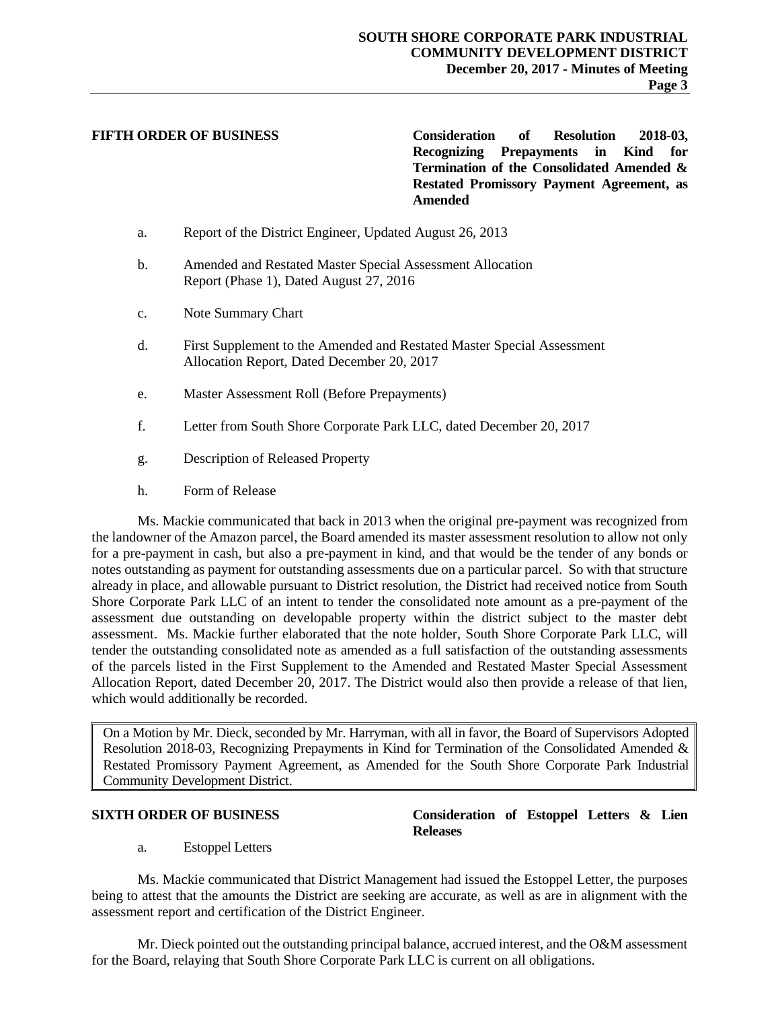**FIFTH ORDER OF BUSINESS Consideration of Resolution 2018-03, Recognizing Prepayments in Kind for Termination of the Consolidated Amended & Restated Promissory Payment Agreement, as Amended**

- a. Report of the District Engineer, Updated August 26, 2013
- b. Amended and Restated Master Special Assessment Allocation Report (Phase 1), Dated August 27, 2016
- c. Note Summary Chart
- d. First Supplement to the Amended and Restated Master Special Assessment Allocation Report, Dated December 20, 2017
- e. Master Assessment Roll (Before Prepayments)
- f. Letter from South Shore Corporate Park LLC, dated December 20, 2017
- g. Description of Released Property
- h. Form of Release

Ms. Mackie communicated that back in 2013 when the original pre-payment was recognized from the landowner of the Amazon parcel, the Board amended its master assessment resolution to allow not only for a pre-payment in cash, but also a pre-payment in kind, and that would be the tender of any bonds or notes outstanding as payment for outstanding assessments due on a particular parcel. So with that structure already in place, and allowable pursuant to District resolution, the District had received notice from South Shore Corporate Park LLC of an intent to tender the consolidated note amount as a pre-payment of the assessment due outstanding on developable property within the district subject to the master debt assessment. Ms. Mackie further elaborated that the note holder, South Shore Corporate Park LLC, will tender the outstanding consolidated note as amended as a full satisfaction of the outstanding assessments of the parcels listed in the First Supplement to the Amended and Restated Master Special Assessment Allocation Report, dated December 20, 2017. The District would also then provide a release of that lien, which would additionally be recorded.

On a Motion by Mr. Dieck, seconded by Mr. Harryman, with all in favor, the Board of Supervisors Adopted Resolution 2018-03, Recognizing Prepayments in Kind for Termination of the Consolidated Amended & Restated Promissory Payment Agreement, as Amended for the South Shore Corporate Park Industrial Community Development District.

# a. Estoppel Letters

Ms. Mackie communicated that District Management had issued the Estoppel Letter, the purposes being to attest that the amounts the District are seeking are accurate, as well as are in alignment with the assessment report and certification of the District Engineer.

Mr. Dieck pointed out the outstanding principal balance, accrued interest, and the O&M assessment for the Board, relaying that South Shore Corporate Park LLC is current on all obligations.

# **SIXTH ORDER OF BUSINESS Consideration of Estoppel Letters & Lien Releases**